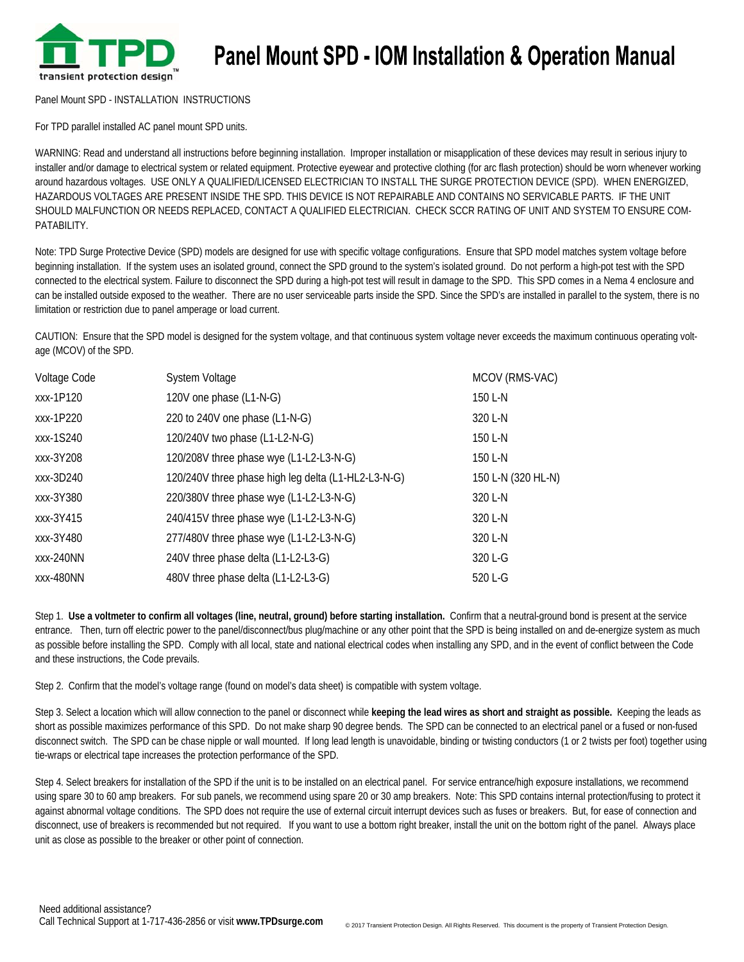

## **Panel Mount SPD - IOM Installation & Operation Manual**

Panel Mount SPD - INSTALLATION INSTRUCTIONS

For TPD parallel installed AC panel mount SPD units.

WARNING: Read and understand all instructions before beginning installation. Improper installation or misapplication of these devices may result in serious injury to installer and/or damage to electrical system or related equipment. Protective eyewear and protective clothing (for arc flash protection) should be worn whenever working around hazardous voltages. USE ONLY A QUALIFIED/LICENSED ELECTRICIAN TO INSTALL THE SURGE PROTECTION DEVICE (SPD). WHEN ENERGIZED, HAZARDOUS VOLTAGES ARE PRESENT INSIDE THE SPD. THIS DEVICE IS NOT REPAIRABLE AND CONTAINS NO SERVICABLE PARTS. IF THE UNIT SHOULD MALFUNCTION OR NEEDS REPLACED, CONTACT A QUALIFIED ELECTRICIAN. CHECK SCCR RATING OF UNIT AND SYSTEM TO ENSURE COM-PATABILITY.

Note: TPD Surge Protective Device (SPD) models are designed for use with specific voltage configurations. Ensure that SPD model matches system voltage before beginning installation. If the system uses an isolated ground, connect the SPD ground to the system's isolated ground. Do not perform a high-pot test with the SPD connected to the electrical system. Failure to disconnect the SPD during a high-pot test will result in damage to the SPD. This SPD comes in a Nema 4 enclosure and can be installed outside exposed to the weather. There are no user serviceable parts inside the SPD. Since the SPD's are installed in parallel to the system, there is no limitation or restriction due to panel amperage or load current.

CAUTION: Ensure that the SPD model is designed for the system voltage, and that continuous system voltage never exceeds the maximum continuous operating voltage (MCOV) of the SPD.

| Voltage Code | System Voltage                                      | MCOV (RMS-VAC)     |
|--------------|-----------------------------------------------------|--------------------|
| xxx-1P120    | 120V one phase (L1-N-G)                             | 150 L-N            |
| xxx-1P220    | 220 to 240V one phase (L1-N-G)                      | 320 L-N            |
| xxx-1S240    | 120/240V two phase (L1-L2-N-G)                      | 150 L-N            |
| xxx-3Y208    | 120/208V three phase wye (L1-L2-L3-N-G)             | 150 L-N            |
| xxx-3D240    | 120/240V three phase high leg delta (L1-HL2-L3-N-G) | 150 L-N (320 HL-N) |
| xxx-3Y380    | 220/380V three phase wye (L1-L2-L3-N-G)             | 320 L-N            |
| xxx-3Y415    | 240/415V three phase wye (L1-L2-L3-N-G)             | 320 L-N            |
| xxx-3Y480    | 277/480V three phase wye (L1-L2-L3-N-G)             | 320 L-N            |
| xxx-240NN    | 240V three phase delta (L1-L2-L3-G)                 | 320 L-G            |
| xxx-480NN    | 480V three phase delta (L1-L2-L3-G)                 | 520 L-G            |

Step 1. **Use a voltmeter to confirm all voltages (line, neutral, ground) before starting installation.** Confirm that a neutral-ground bond is present at the service entrance. Then, turn off electric power to the panel/disconnect/bus plug/machine or any other point that the SPD is being installed on and de-energize system as much as possible before installing the SPD. Comply with all local, state and national electrical codes when installing any SPD, and in the event of conflict between the Code and these instructions, the Code prevails.

Step 2. Confirm that the model's voltage range (found on model's data sheet) is compatible with system voltage.

Step 3. Select a location which will allow connection to the panel or disconnect while **keeping the lead wires as short and straight as possible.** Keeping the leads as short as possible maximizes performance of this SPD. Do not make sharp 90 degree bends. The SPD can be connected to an electrical panel or a fused or non-fused disconnect switch. The SPD can be chase nipple or wall mounted. If long lead length is unavoidable, binding or twisting conductors (1 or 2 twists per foot) together using tie-wraps or electrical tape increases the protection performance of the SPD.

Step 4. Select breakers for installation of the SPD if the unit is to be installed on an electrical panel. For service entrance/high exposure installations, we recommend using spare 30 to 60 amp breakers. For sub panels, we recommend using spare 20 or 30 amp breakers. Note: This SPD contains internal protection/fusing to protect it against abnormal voltage conditions. The SPD does not require the use of external circuit interrupt devices such as fuses or breakers. But, for ease of connection and disconnect, use of breakers is recommended but not required. If you want to use a bottom right breaker, install the unit on the bottom right of the panel. Always place unit as close as possible to the breaker or other point of connection.